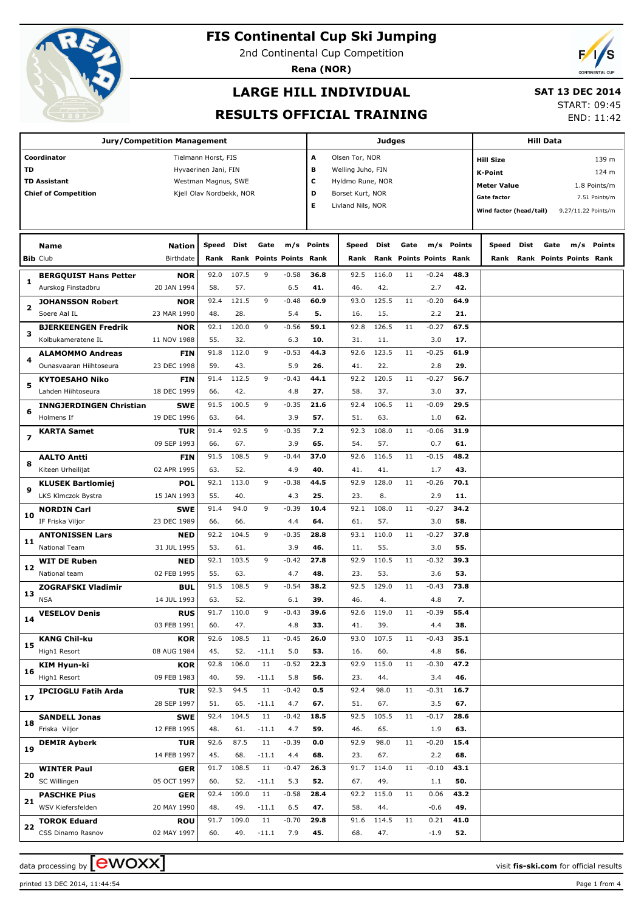

2nd Continental Cup Competition

**Rena (NOR)**

### **LARGE HILL INDIVIDUAL**

#### **SAT 13 DEC 2014**

#### **RESULTS OFFICIAL TRAINING**

START: 09:45 END: 11:42

|    | Jury/Competition Management            |                           |                          | Judges       |               |                         | <b>Hill Data</b> |                   |              |      |                         |             |                         |      |              |                         |                     |
|----|----------------------------------------|---------------------------|--------------------------|--------------|---------------|-------------------------|------------------|-------------------|--------------|------|-------------------------|-------------|-------------------------|------|--------------|-------------------------|---------------------|
|    | Coordinator                            |                           | Tielmann Horst, FIS      |              |               |                         | Α                | Olsen Tor, NOR    |              |      |                         |             | <b>Hill Size</b>        |      |              |                         | 139 m               |
| TD |                                        |                           | Hyvaerinen Jani, FIN     |              |               |                         | в                | Welling Juho, FIN |              |      |                         |             | <b>K-Point</b>          |      |              |                         | 124 m               |
|    | <b>TD Assistant</b>                    |                           | Westman Magnus, SWE      |              |               |                         | c                | Hyldmo Rune, NOR  |              |      |                         |             |                         |      |              |                         |                     |
|    | <b>Chief of Competition</b>            |                           | Kjell Olav Nordbekk, NOR |              | D             | Borset Kurt, NOR        |                  |                   |              |      | <b>Meter Value</b>      |             |                         |      | 1.8 Points/m |                         |                     |
|    |                                        |                           |                          |              |               |                         | Е                | Livland Nils, NOR |              |      |                         |             | <b>Gate factor</b>      |      |              |                         | 7.51 Points/m       |
|    |                                        |                           |                          |              |               |                         |                  |                   |              |      |                         |             | Wind factor (head/tail) |      |              |                         | 9.27/11.22 Points/m |
|    |                                        |                           |                          |              |               |                         |                  |                   |              |      |                         |             |                         |      |              |                         |                     |
|    | <b>Name</b>                            | <b>Nation</b>             | Speed                    | Dist         | Gate          | m/s                     | <b>Points</b>    | Speed             | Dist         | Gate | m/s                     | Points      | Speed                   | Dist | Gate         | m/s                     | Points              |
|    | <b>Bib Club</b>                        | Birthdate                 | Rank                     |              |               | Rank Points Points Rank |                  | Rank              |              |      | Rank Points Points Rank |             | Rank                    |      |              | Rank Points Points Rank |                     |
|    | <b>BERGQUIST Hans Petter</b>           | NOR                       | 92.0                     | 107.5        | 9             | $-0.58$                 | 36.8             | 92.5              | 116.0        | 11   | $-0.24$                 | 48.3        |                         |      |              |                         |                     |
| 1  | Aurskog Finstadbru                     | 20 JAN 1994               | 58.                      | 57.          |               | 6.5                     | 41.              | 46.               | 42.          |      | 2.7                     | 42.         |                         |      |              |                         |                     |
|    | <b>JOHANSSON Robert</b>                | <b>NOR</b>                | 92.4                     | 121.5        | 9             | $-0.48$                 | 60.9             | 93.0              | 125.5        | 11   | $-0.20$                 | 64.9        |                         |      |              |                         |                     |
| 2  | Soere Aal IL                           | 23 MAR 1990               | 48.                      | 28.          |               | 5.4                     | 5.               | 16.               | 15.          |      | 2.2                     | 21.         |                         |      |              |                         |                     |
|    | <b>BJERKEENGEN Fredrik</b>             | <b>NOR</b>                | 92.1                     | 120.0        | 9             | $-0.56$                 | 59.1             | 92.8              | 126.5        | 11   | $-0.27$                 | 67.5        |                         |      |              |                         |                     |
| з  | Kolbukameratene IL                     | 11 NOV 1988               | 55.                      | 32.          |               | 6.3                     | 10.              | 31.               | 11.          |      | 3.0                     | 17.         |                         |      |              |                         |                     |
| 4  | <b>ALAMOMMO Andreas</b>                | FIN                       | 91.8                     | 112.0        | 9             | $-0.53$                 | 44.3             | 92.6              | 123.5        | 11   | $-0.25$                 | 61.9        |                         |      |              |                         |                     |
|    | Ounasvaaran Hiihtoseura                | 23 DEC 1998               | 59.                      | 43.          |               | 5.9                     | 26.              | 41.               | 22.          |      | 2.8                     | 29.         |                         |      |              |                         |                     |
| 5  | <b>KYTOESAHO Niko</b>                  | FIN                       | 91.4                     | 112.5        | 9             | $-0.43$                 | 44.1             | 92.2              | 120.5        | 11   | $-0.27$                 | 56.7        |                         |      |              |                         |                     |
|    | Lahden Hiihtoseura                     | 18 DEC 1999               | 66.                      | 42.          |               | 4.8                     | 27.              | 58.               | 37.          |      | 3.0                     | 37.         |                         |      |              |                         |                     |
| 6  | <b>INNGJERDINGEN Christian</b>         | <b>SWE</b>                | 91.5                     | 100.5        | 9             | $-0.35$                 | 21.6             | 92.4              | 106.5        | 11   | $-0.09$                 | 29.5        |                         |      |              |                         |                     |
|    | Holmens If                             | 19 DEC 1996               | 63.                      | 64.          |               | 3.9                     | 57.              | 51.               | 63.          |      | 1.0                     | 62.         |                         |      |              |                         |                     |
| 7  | <b>KARTA Samet</b>                     | <b>TUR</b>                | 91.4                     | 92.5         | 9             | $-0.35$                 | 7.2              | 92.3              | 108.0        | 11   | $-0.06$                 | 31.9        |                         |      |              |                         |                     |
|    |                                        | 09 SEP 1993               | 66.                      | 67.          |               | 3.9                     | 65.              | 54.               | 57.          |      | 0.7                     | 61.         |                         |      |              |                         |                     |
| 8  | <b>AALTO Antti</b>                     | <b>FIN</b>                | 91.5                     | 108.5        | 9             | $-0.44$                 | 37.0             | 92.6              | 116.5        | 11   | $-0.15$                 | 48.2        |                         |      |              |                         |                     |
|    | Kiteen Urheilijat                      | 02 APR 1995               | 63.                      | 52.          |               | 4.9                     | 40.              | 41.               | 41.          |      | 1.7                     | 43.         |                         |      |              |                         |                     |
| 9  | <b>KLUSEK Bartlomiej</b>               | POL                       | 92.1                     | 113.0        | 9             | $-0.38$                 | 44.5             | 92.9              | 128.0        | 11   | $-0.26$                 | 70.1        |                         |      |              |                         |                     |
|    | LKS Klmczok Bystra                     | 15 JAN 1993               | 55.<br>91.4              | 40.<br>94.0  | 9             | 4.3<br>$-0.39$          | 25.<br>10.4      | 23.<br>92.1       | 8.<br>108.0  | 11   | 2.9<br>$-0.27$          | 11.<br>34.2 |                         |      |              |                         |                     |
| 10 | <b>NORDIN Carl</b><br>IF Friska Viljor | <b>SWE</b><br>23 DEC 1989 | 66.                      | 66.          |               | 4.4                     | 64.              | 61.               | 57.          |      | 3.0                     | 58.         |                         |      |              |                         |                     |
|    | <b>ANTONISSEN Lars</b>                 | <b>NED</b>                | 92.2                     | 104.5        | 9             | $-0.35$                 | 28.8             | 93.1              | 110.0        | 11   | $-0.27$                 | 37.8        |                         |      |              |                         |                     |
| 11 | <b>National Team</b>                   | 31 JUL 1995               | 53.                      | 61.          |               | 3.9                     | 46.              | 11.               | 55.          |      | 3.0                     | 55.         |                         |      |              |                         |                     |
|    | <b>WIT DE Ruben</b>                    | <b>NED</b>                | 92.1                     | 103.5        | 9             | $-0.42$                 | 27.8             | 92.9              | 110.5        | 11   | $-0.32$                 | 39.3        |                         |      |              |                         |                     |
| 12 | National team                          | 02 FEB 1995               | 55.                      | 63.          |               | 4.7                     | 48.              | 23.               | 53.          |      | 3.6                     | 53.         |                         |      |              |                         |                     |
|    | <b>ZOGRAFSKI Vladimir</b>              | BUL                       | 91.5                     | 108.5        | 9             | $-0.54$                 | 38.2             | 92.5              | 129.0        | 11   | $-0.43$                 | 73.8        |                         |      |              |                         |                     |
| 13 | <b>NSA</b>                             | 14 JUL 1993               | 63.                      | 52.          |               | 6.1                     | 39.              | 46.               | 4.           |      | 4.8                     | 7.          |                         |      |              |                         |                     |
|    | <b>VESELOV Denis</b>                   | <b>RUS</b>                | 91.7                     | 110.0        | 9             | $-0.43$                 | 39.6             | 92.6              | 119.0        | 11   | $-0.39$                 | 55.4        |                         |      |              |                         |                     |
| 14 |                                        | 03 FEB 1991               | 60.                      | 47.          |               | 4.8                     | 33.              | 41.               | 39.          |      | 4.4                     | 38.         |                         |      |              |                         |                     |
| 15 | <b>KANG Chil-ku</b>                    | <b>KOR</b>                | 92.6                     | 108.5        | 11            | $-0.45$                 | 26.0             | 93.0              | 107.5        | 11   | $-0.43$                 | 35.1        |                         |      |              |                         |                     |
|    | High1 Resort                           | 08 AUG 1984               | 45.                      | 52.          | $-11.1$       | 5.0                     | 53.              | 16.               | 60.          |      | 4.8                     | 56.         |                         |      |              |                         |                     |
| 16 | <b>KIM Hyun-ki</b>                     | <b>KOR</b>                | 92.8                     | 106.0        | 11            | $-0.52$                 | 22.3             | 92.9              | 115.0        | 11   | $-0.30$                 | 47.2        |                         |      |              |                         |                     |
|    | High1 Resort                           | 09 FEB 1983               | 40.                      | 59.          | $-11.1$       | 5.8                     | 56.              | 23.               | 44.          |      | 3.4                     | 46.         |                         |      |              |                         |                     |
| 17 | <b>IPCIOGLU Fatih Arda</b>             | <b>TUR</b>                | 92.3                     | 94.5         | 11            | $-0.42$                 | 0.5              | 92.4              | 98.0         | 11   | $-0.31$                 | 16.7        |                         |      |              |                         |                     |
|    |                                        | 28 SEP 1997               | 51.<br>92.4              | 65.<br>104.5 | $-11.1$<br>11 | 4.7<br>$-0.42$          | 67.<br>18.5      | 51.<br>92.5       | 67.<br>105.5 | 11   | 3.5<br>$-0.17$          | 67.<br>28.6 |                         |      |              |                         |                     |
| 18 | <b>SANDELL Jonas</b><br>Friska Viljor  | <b>SWE</b><br>12 FEB 1995 | 48.                      | 61.          | $-11.1$       | 4.7                     | 59.              | 46.               | 65.          |      | 1.9                     | 63.         |                         |      |              |                         |                     |
|    | <b>DEMIR Ayberk</b>                    | <b>TUR</b>                | 92.6                     | 87.5         | 11            | $-0.39$                 | 0.0              | 92.9              | 98.0         | 11   | $-0.20$                 | 15.4        |                         |      |              |                         |                     |
| 19 |                                        | 14 FEB 1997               | 45.                      | 68.          | $-11.1$       | 4.4                     | 68.              | 23.               | 67.          |      | 2.2                     | 68.         |                         |      |              |                         |                     |
|    | <b>WINTER Paul</b>                     | <b>GER</b>                | 91.7                     | 108.5        | 11            | $-0.47$                 | 26.3             | 91.7              | 114.0        | 11   | $-0.10$                 | 43.1        |                         |      |              |                         |                     |
| 20 | SC Willingen                           | 05 OCT 1997               | 60.                      | 52.          | $-11.1$       | 5.3                     | 52.              | 67.               | 49.          |      | 1.1                     | 50.         |                         |      |              |                         |                     |
|    | <b>PASCHKE Pius</b>                    | <b>GER</b>                | 92.4                     | 109.0        | 11            | $-0.58$                 | 28.4             | 92.2              | 115.0        | 11   | 0.06                    | 43.2        |                         |      |              |                         |                     |
| 21 | WSV Kiefersfelden                      | 20 MAY 1990               | 48.                      | 49.          | $-11.1$       | 6.5                     | 47.              | 58.               | 44.          |      | $-0.6$                  | 49.         |                         |      |              |                         |                     |
|    | <b>TOROK Eduard</b>                    | <b>ROU</b>                | 91.7                     | 109.0        | 11            | $-0.70$                 | 29.8             | 91.6              | 114.5        | 11   | 0.21                    | 41.0        |                         |      |              |                         |                     |
| 22 | CSS Dinamo Rasnov                      | 02 MAY 1997               | 60.                      | 49.          | $-11.1$       | 7.9                     | 45.              | 68.               | 47.          |      | $-1.9$                  | 52.         |                         |      |              |                         |                     |
|    |                                        |                           |                          |              |               |                         |                  |                   |              |      |                         |             |                         |      |              |                         |                     |

printed 13 DEC 2014, 11:44:54 Page 1 from 4

data processing by **CWOXX**  $\blacksquare$ 

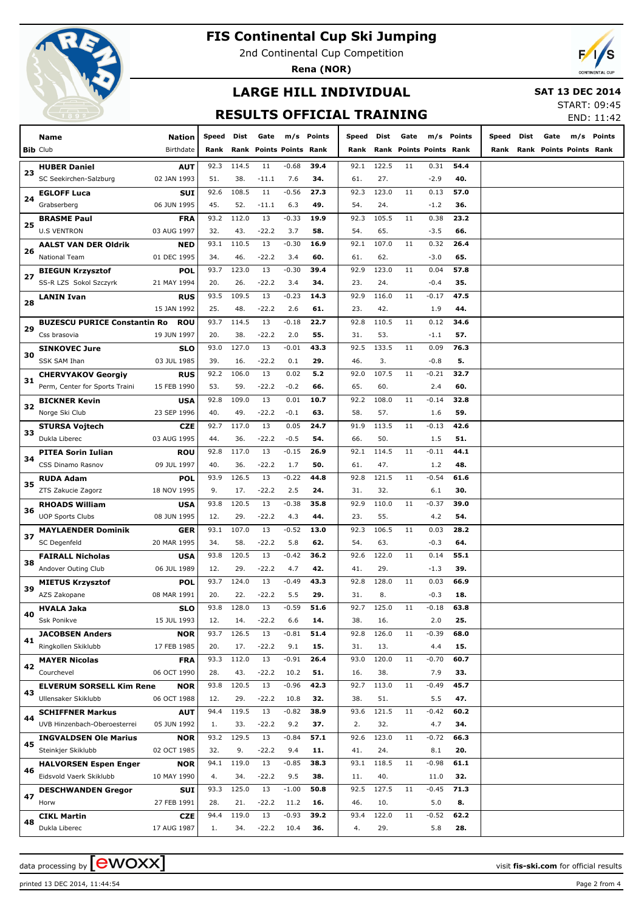

2nd Continental Cup Competition

**Rena (NOR)**



# **LARGE HILL INDIVIDUAL**

 **SAT 13 DEC 2014**

### **RESULTS OFFICIAL TRAINING**

START: 09:45 END: 11:42

|          |                                     |                    |             |              |                      |                |             |             |              |      |                           |             |       |      |                                | CND. II.42 |        |
|----------|-------------------------------------|--------------------|-------------|--------------|----------------------|----------------|-------------|-------------|--------------|------|---------------------------|-------------|-------|------|--------------------------------|------------|--------|
|          | Name                                | Nation             | Speed       | Dist         | Gate                 | m/s            | Points      | Speed       | Dist         | Gate | m/s                       | Points      | Speed | Dist | Gate                           | m/s        | Points |
|          | <b>Bib Club</b>                     | Birthdate          | Rank        | Rank         | <b>Points Points</b> |                | Rank        | Rank        | Rank         |      | <b>Points Points Rank</b> |             | Rank  |      | <b>Rank Points Points Rank</b> |            |        |
|          | <b>HUBER Daniel</b>                 | AUT                | 92.3        | 114.5        | 11                   | $-0.68$        | 39.4        | 92.1        | 122.5        | 11   | 0.31                      | 54.4        |       |      |                                |            |        |
| 23       | SC Seekirchen-Salzburg              | 02 JAN 1993        | 51.         | 38.          | -11.1                | 7.6            | 34.         | 61.         | 27.          |      | -2.9                      | 40.         |       |      |                                |            |        |
|          | <b>EGLOFF Luca</b>                  | <b>SUI</b>         | 92.6        | 108.5        | 11                   | $-0.56$        | 27.3        | 92.3        | 123.0        | 11   | 0.13                      | 57.0        |       |      |                                |            |        |
| 24       | Grabserberg                         | 06 JUN 1995        | 45.         | 52.          | -11.1                | 6.3            | 49.         | 54.         | 24.          |      | $-1.2$                    | 36.         |       |      |                                |            |        |
|          | <b>BRASME Paul</b>                  | FRA                | 93.2        | 112.0        | 13                   | $-0.33$        | 19.9        | 92.3        | 105.5        | 11   | 0.38                      | 23.2        |       |      |                                |            |        |
| 25       | <b>U.S VENTRON</b>                  | 03 AUG 1997        | 32.         | 43.          | -22.2                | 3.7            | 58.         | 54.         | 65.          |      | $-3.5$                    | 66.         |       |      |                                |            |        |
|          | <b>AALST VAN DER Oldrik</b>         | <b>NED</b>         | 93.1        | 110.5        | 13                   | $-0.30$        | 16.9        | 92.1        | 107.0        | 11   | 0.32                      | 26.4        |       |      |                                |            |        |
| 26<br>27 | National Team                       | 01 DEC 1995        | 34.         | 46.          | -22.2                | 3.4            | 60.         | 61.         | 62.          |      | -3.0                      | 65.         |       |      |                                |            |        |
|          | <b>BIEGUN Krzysztof</b>             | POL                | 93.7        | 123.0        | 13                   | $-0.30$        | 39.4        | 92.9        | 123.0        | 11   | 0.04                      | 57.8        |       |      |                                |            |        |
|          | SS-R LZS Sokol Szczyrk              | 21 MAY 1994        | 20.         | 26.          | -22.2                | 3.4            | 34.         | 23.         | 24.          |      | -0.4                      | 35.         |       |      |                                |            |        |
| 28       | LANIN Ivan                          | <b>RUS</b>         | 93.5        | 109.5        | 13                   | $-0.23$        | 14.3        | 92.9        | 116.0        | 11   | $-0.17$                   | 47.5        |       |      |                                |            |        |
|          |                                     | 15 JAN 1992        | 25.         | 48.          | -22.2                | 2.6            | 61.         | 23.         | 42.          |      | 1.9                       | 44.         |       |      |                                |            |        |
| 29       | <b>BUZESCU PURICE Constantin Ro</b> | <b>ROU</b>         | 93.7        | 114.5        | 13                   | $-0.18$        | 22.7        | 92.8        | 110.5        | 11   | 0.12                      | 34.6        |       |      |                                |            |        |
|          | Css brasovia                        | 19 JUN 1997        | 20.         | 38.          | -22.2                | 2.0            | 55.         | 31.         | 53.          |      | $-1.1$                    | 57.         |       |      |                                |            |        |
| 30       | <b>SINKOVEC Jure</b>                | <b>SLO</b>         | 93.0        | 127.0        | 13                   | $-0.01$        | 43.3        | 92.5        | 133.5        | 11   | 0.09                      | 76.3        |       |      |                                |            |        |
|          | SSK SAM Ihan                        | 03 JUL 1985        | 39.         | 16.          | -22.2                | 0.1            | 29.         | 46.         | 3.           |      | $-0.8$                    | 5.          |       |      |                                |            |        |
| 31       | <b>CHERVYAKOV Georgiv</b>           | <b>RUS</b>         | 92.2        | 106.0        | 13                   | 0.02           | 5.2         | 92.0        | 107.5        | 11   | $-0.21$                   | 32.7        |       |      |                                |            |        |
|          | Perm, Center for Sports Traini      | 15 FEB 1990        | 53.         | 59.          | -22.2                | $-0.2$         | 66.         | 65.         | 60.          |      | 2.4                       | 60.         |       |      |                                |            |        |
| 32       | <b>BICKNER Kevin</b>                | USA                | 92.8        | 109.0        | 13                   | 0.01           | 10.7        | 92.2        | 108.0        | 11   | $-0.14$                   | 32.8        |       |      |                                |            |        |
|          | Norge Ski Club                      | 23 SEP 1996        | 40.         | 49.          | -22.2                | $-0.1$         | 63.         | 58.         | 57.          |      | 1.6                       | 59.         |       |      |                                |            |        |
| 33       | <b>STURSA Vojtech</b>               | <b>CZE</b>         | 92.7        | 117.0        | 13                   | 0.05           | 24.7        | 91.9        | 113.5        | 11   | $-0.13$                   | 42.6        |       |      |                                |            |        |
|          | Dukla Liberec                       | 03 AUG 1995        | 44.         | 36.          | $-22.2$              | $-0.5$         | 54.         | 66.         | 50.          |      | 1.5                       | 51.         |       |      |                                |            |        |
| 34       | PITEA Sorin Iulian                  | <b>ROU</b>         | 92.8        | 117.0        | 13                   | $-0.15$        | 26.9        | 92.1        | 114.5        | 11   | $-0.11$                   | 44.1        |       |      |                                |            |        |
|          | CSS Dinamo Rasnov                   | 09 JUL 1997        | 40.         | 36.          | -22.2                | 1.7            | 50.         | 61.         | 47.          |      | 1.2                       | 48.         |       |      |                                |            |        |
| 35       | RUDA Adam                           | POL                | 93.9        | 126.5        | 13                   | $-0.22$        | 44.8        | 92.8        | 121.5        | 11   | $-0.54$                   | 61.6        |       |      |                                |            |        |
|          | ZTS Zakucie Zagorz                  | 18 NOV 1995        | 9.          | 17.          | -22.2                | 2.5            | 24.         | 31.         | 32.          |      | 6.1                       | 30.         |       |      |                                |            |        |
| 36       | <b>RHOADS William</b>               | USA                | 93.8        | 120.5        | 13                   | $-0.38$        | 35.8        | 92.9        | 110.0        | 11   | $-0.37$                   | 39.0        |       |      |                                |            |        |
|          | <b>UOP Sports Clubs</b>             | 08 JUN 1995        | 12.         | 29.          | -22.2                | 4.3            | 44.         | 23.         | 55.          |      | 4.2                       | 54.         |       |      |                                |            |        |
| 37       | <b>MAYLAENDER Dominik</b>           | GER                | 93.1        | 107.0        | 13                   | $-0.52$        | 13.0        | 92.3        | 106.5        | 11   | 0.03                      | 28.2        |       |      |                                |            |        |
|          | SC Degenfeld                        | 20 MAR 1995        | 34.         | 58.          | -22.2                | 5.8            | 62.         | 54.         | 63.          |      | -0.3                      | 64.         |       |      |                                |            |        |
| 38       | <b>FAIRALL Nicholas</b>             | USA                | 93.8        | 120.5        | 13                   | $-0.42$        | 36.2        | 92.6        | 122.0        | 11   | 0.14                      | 55.1        |       |      |                                |            |        |
|          | Andover Outing Club                 | 06 JUL 1989        | 12.         | 29.          | $-22.2$              | 4.7            | 42.         | 41.         | 29.          |      | $-1.3$                    | 39.         |       |      |                                |            |        |
| 39       | <b>MIETUS Krzysztof</b>             | POL                | 93.7        | 124.0        | 13                   | -0.49          | 43.3        | 92.8        | 128.0        | 11   | 0.03                      | 66.9        |       |      |                                |            |        |
|          | AZS Zakopane                        | 08 MAR 1991        | 20.         | 22.          | $-22.2$              | 5.5            | 29.         | 31.         | 8.           |      | $-0.3$                    | 18.         |       |      |                                |            |        |
| 40       | <b>HVALA Jaka</b><br>Ssk Ponikve    | SLO<br>15 JUL 1993 | 93.8<br>12. | 128.0<br>14. | 13<br>$-22.2$        | $-0.59$<br>6.6 | 51.6<br>14. | 92.7<br>38. | 125.0<br>16. | 11   | $-0.18$<br>2.0            | 63.8<br>25. |       |      |                                |            |        |
|          | <b>JACOBSEN Anders</b>              | <b>NOR</b>         | 93.7        | 126.5        | 13                   | $-0.81$        | 51.4        | 92.8        | 126.0        | 11   | $-0.39$                   | 68.0        |       |      |                                |            |        |
| 41       | Ringkollen Skiklubb                 | 17 FEB 1985        | 20.         | 17.          | $-22.2$              | 9.1            | 15.         | 31.         | 13.          |      | 4.4                       | 15.         |       |      |                                |            |        |
|          | <b>MAYER Nicolas</b>                | <b>FRA</b>         | 93.3        | 112.0        | 13                   | $-0.91$        | 26.4        | 93.0        | 120.0        | 11   | $-0.70$                   | 60.7        |       |      |                                |            |        |
| 42       | Courchevel                          | 06 OCT 1990        | 28.         | 43.          | $-22.2$              | 10.2           | 51.         | 16.         | 38.          |      | 7.9                       | 33.         |       |      |                                |            |        |
|          | <b>ELVERUM SORSELL Kim Rene</b>     | <b>NOR</b>         | 93.8        | 120.5        | 13                   | $-0.96$        | 42.3        | 92.7        | 113.0        | 11   | $-0.49$                   | 45.7        |       |      |                                |            |        |
| 43       | Ullensaker Skiklubb                 | 06 OCT 1988        | 12.         | 29.          | $-22.2$              | 10.8           | 32.         | 38.         | 51.          |      | 5.5                       | 47.         |       |      |                                |            |        |
|          | <b>SCHIFFNER Markus</b>             | <b>AUT</b>         | 94.4        | 119.5        | 13                   | $-0.82$        | 38.9        | 93.6        | 121.5        | 11   | $-0.42$                   | 60.2        |       |      |                                |            |        |
| 44       | UVB Hinzenbach-Oberoesterrei        | 05 JUN 1992        | 1.          | 33.          | $-22.2$              | 9.2            | 37.         | 2.          | 32.          |      | 4.7                       | 34.         |       |      |                                |            |        |
|          | <b>INGVALDSEN Ole Marius</b>        | <b>NOR</b>         | 93.2        | 129.5        | 13                   | $-0.84$        | 57.1        | 92.6        | 123.0        | 11   | $-0.72$                   | 66.3        |       |      |                                |            |        |
| 45       | Steinkjer Skiklubb                  | 02 OCT 1985        | 32.         | 9.           | $-22.2$              | 9.4            | 11.         | 41.         | 24.          |      | 8.1                       | 20.         |       |      |                                |            |        |
|          | <b>HALVORSEN Espen Enger</b>        | <b>NOR</b>         | 94.1        | 119.0        | 13                   | $-0.85$        | 38.3        | 93.1        | 118.5        | 11   | $-0.98$                   | 61.1        |       |      |                                |            |        |
| 46       | Eidsvold Vaerk Skiklubb             | 10 MAY 1990        | 4.          | 34.          | $-22.2$              | 9.5            | 38.         | 11.         | 40.          |      | 11.0                      | 32.         |       |      |                                |            |        |
|          | <b>DESCHWANDEN Gregor</b>           | <b>SUI</b>         | 93.3        | 125.0        | 13                   | $-1.00$        | 50.8        | 92.5        | 127.5        | 11   | $-0.45$                   | 71.3        |       |      |                                |            |        |
| 47       | Horw                                | 27 FEB 1991        | 28.         | 21.          | $-22.2$              | 11.2           | 16.         | 46.         | 10.          |      | 5.0                       | 8.          |       |      |                                |            |        |
|          | <b>CIKL Martin</b>                  | <b>CZE</b>         | 94.4        | 119.0        | 13                   | $-0.93$        | 39.2        | 93.4        | 122.0        | 11   | $-0.52$                   | 62.2        |       |      |                                |            |        |
| 48       | Dukla Liberec                       | 17 AUG 1987        | 1.          | 34.          | $-22.2$              | 10.4           | 36.         | 4.          | 29.          |      | 5.8                       | 28.         |       |      |                                |            |        |

printed 13 DEC 2014, 11:44:54 Page 2 from 4

data processing by **CWOXX**  $\blacksquare$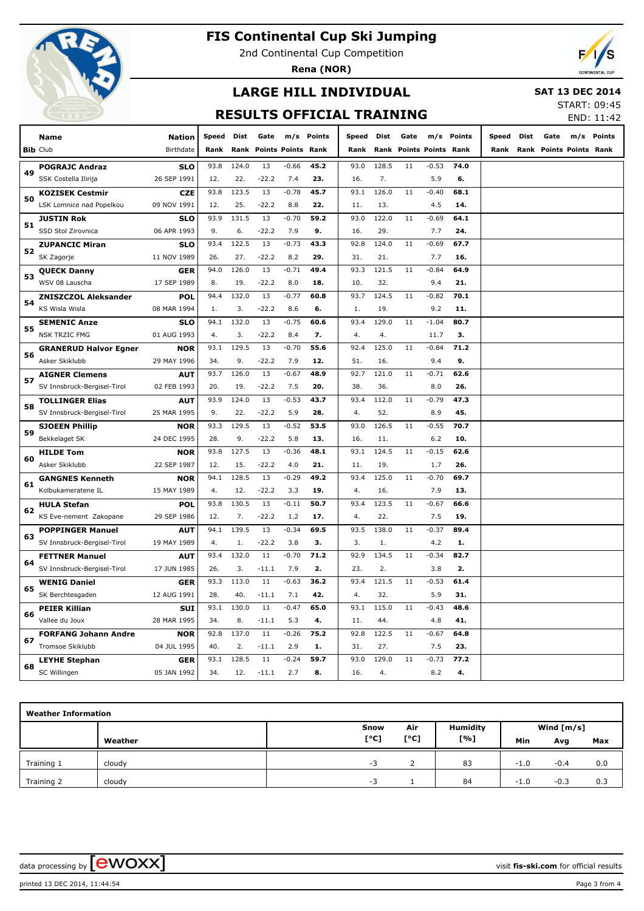

2nd Continental Cup Competition

**Rena (NOR)**



# **LARGE HILL INDIVIDUAL**

#### **SAT 13 DEC 2014**

### **RESULTS OFFICIAL TRAINING**

START: 09:45 END: 11:42

|    |                                                        |                           |             |             |                           |                |             |            |              |                      |                |             |                         |             |      |     | 11.TZ         |
|----|--------------------------------------------------------|---------------------------|-------------|-------------|---------------------------|----------------|-------------|------------|--------------|----------------------|----------------|-------------|-------------------------|-------------|------|-----|---------------|
|    | <b>Name</b>                                            | Nation                    | Speed       | Dist        | Gate                      | m/s            | Points      | Speed      | <b>Dist</b>  | Gate                 | m/s            | Points      | Speed                   | <b>Dist</b> | Gate | m/s | <b>Points</b> |
|    | <b>Bib Club</b>                                        | Birthdate                 | Rank        | Rank        | <b>Points Points Rank</b> |                |             | Rank       | Rank         | <b>Points Points</b> |                | Rank        | Rank                    |             |      |     |               |
|    | <b>POGRAJC Andraz</b>                                  | <b>SLO</b>                | 93.8        | 124.0       | 13                        | $-0.66$        | 45.2        | 93.0       | 128.5        | 11                   | $-0.53$        | 74.0        |                         |             |      |     |               |
| 49 | SSK Costella Ilirija                                   | 26 SEP 1991               | 12.         | 22.         | $-22.2$                   | 7.4            | 23.         | 16.        | 7.           |                      | 5.9            | 6.          |                         |             |      |     |               |
|    | <b>KOZISEK Cestmir</b>                                 | <b>CZE</b>                | 93.8        | 123.5       | 13                        | $-0.78$        | 45.7        | 93.1       | 126.0        | 11                   | $-0.40$        | 68.1        |                         |             |      |     |               |
| 50 | LSK Lomnice nad Popelkou                               | 09 NOV 1991               | 12.         | 25.         | $-22.2$                   | 8.8            | 22.         | 11.        | 13.          |                      | 4.5            | 14.         |                         |             |      |     |               |
| 51 | <b>JUSTIN Rok</b>                                      | <b>SLO</b>                | 93.9        | 131.5       | 13                        | $-0.70$        | 59.2        | 93.0       | 122.0        | 11                   | $-0.69$        | 64.1        |                         |             |      |     |               |
|    | SSD Stol Zirovnica                                     | 06 APR 1993               | 9.          | 6.          | $-22.2$                   | 7.9            | 9.          | 16.        | 29.          |                      | 7.7            | 24.         |                         |             |      |     |               |
| 52 | <b>ZUPANCIC Miran</b>                                  | <b>SLO</b>                | 93.4        | 122.5       | 13                        | $-0.73$        | 43.3        | 92.8       | 124.0        | 11                   | $-0.69$        | 67.7        | Rank Points Points Rank |             |      |     |               |
|    | SK Zagorje                                             | 11 NOV 1989               | 26.         | 27.         | $-22.2$                   | 8.2            | 29.         | 31.        | 21.          |                      | 7.7            | 16.         |                         |             |      |     |               |
| 53 | <b>QUECK Danny</b>                                     | <b>GER</b>                | 94.0        | 126.0       | 13                        | $-0.71$        | 49.4        | 93.3       | 121.5        | 11                   | $-0.84$        | 64.9        |                         |             |      |     |               |
|    | WSV 08 Lauscha                                         | 17 SEP 1989               | 8.          | 19.         | $-22.2$                   | 8.0            | 18.         | 10.        | 32.          |                      | 9.4            | 21.         |                         |             |      |     |               |
| 54 | <b>ZNISZCZOL Aleksander</b>                            | POL                       | 94.4        | 132.0       | 13                        | $-0.77$        | 60.8        | 93.7       | 124.5        | 11                   | $-0.82$        | 70.1        |                         |             |      |     |               |
|    | KS Wisla Wisla                                         | 08 MAR 1994               | 1.          | 3.          | $-22.2$                   | 8.6            | 6.          | 1.         | 19.          |                      | 9.2            | 11.         |                         |             |      |     |               |
| 55 | <b>SEMENIC Anze</b>                                    | <b>SLO</b>                | 94.1        | 132.0       | 13                        | $-0.75$        | 60.6        | 93.4       | 129.0        | 11                   | $-1.04$        | 80.7        |                         |             |      |     |               |
|    | <b>NSK TRZIC FMG</b>                                   | 01 AUG 1993               | 4.          | 3.          | $-22.2$                   | 8.4            | 7.          | 4.         | 4.           |                      | 11.7           | 3.          |                         |             |      |     |               |
| 56 | <b>GRANERUD Halvor Egner</b>                           | <b>NOR</b>                | 93.1        | 129.5       | 13                        | $-0.70$        | 55.6        | 92.4       | 125.0        | $11\,$               | $-0.84$        | 71.2        |                         |             |      |     |               |
|    | Asker Skiklubb                                         | 29 MAY 1996               | 34.         | 9.          | $-22.2$                   | 7.9            | 12.         | 51.        | 16.          |                      | 9.4            | 9.          |                         |             |      |     |               |
| 57 | <b>AIGNER Clemens</b>                                  | <b>AUT</b>                | 93.7        | 126.0       | 13                        | $-0.67$        | 48.9        | 92.7       | 121.0        | 11                   | $-0.71$        | 62.6        |                         |             |      |     |               |
|    | SV Innsbruck-Bergisel-Tirol                            | 02 FEB 1993               | 20.         | 19.         | $-22.2$                   | 7.5            | 20.         | 38.        | 36.          |                      | 8.0            | 26.         |                         |             |      |     |               |
| 58 | <b>TOLLINGER Elias</b>                                 | <b>AUT</b>                | 93.9        | 124.0       | 13                        | $-0.53$        | 43.7        | 93.4       | 112.0        | 11                   | $-0.79$        | 47.3        |                         |             |      |     |               |
|    | SV Innsbruck-Bergisel-Tirol                            | 25 MAR 1995               | 9.          | 22.         | $-22.2$                   | 5.9            | 28.         | 4.         | 52.          |                      | 8.9            | 45.         |                         |             |      |     |               |
| 59 | <b>SJOEEN Phillip</b>                                  | <b>NOR</b>                | 93.3        | 129.5       | 13                        | $-0.52$        | 53.5        | 93.0       | 126.5        | 11                   | $-0.55$        | 70.7        |                         |             |      |     |               |
|    | Bekkelaget SK                                          | 24 DEC 1995               | 28.         | 9.          | $-22.2$                   | 5.8            | 13.         | 16.        | 11.          |                      | 6.2            | 10.         |                         |             |      |     |               |
| 60 | <b>HILDE Tom</b>                                       | <b>NOR</b>                | 93.8        | 127.5       | 13                        | $-0.36$        | 48.1        | 93.1       | 124.5        | 11                   | $-0.15$        | 62.6        |                         |             |      |     |               |
|    | Asker Skiklubb                                         | 22 SEP 1987               | 12.         | 15.         | $-22.2$                   | 4.0            | 21.         | 11.        | 19.          |                      | 1.7            | 26.         |                         |             |      |     |               |
| 61 | <b>GANGNES Kenneth</b>                                 | <b>NOR</b>                | 94.1        | 128.5       | 13                        | $-0.29$        | 49.2        | 93.4       | 125.0        | 11                   | $-0.70$        | 69.7        |                         |             |      |     |               |
|    | Kolbukameratene IL                                     | 15 MAY 1989               | 4.          | 12.         | $-22.2$                   | 3.3            | 19.         | 4.         | 16.          |                      | 7.9            | 13.         |                         |             |      |     |               |
| 62 | <b>HULA Stefan</b>                                     | POL                       | 93.8        | 130.5       | 13                        | $-0.11$        | 50.7        | 93.4       | 123.5        | 11                   | $-0.67$        | 66.6        |                         |             |      |     |               |
|    | KS Eve-nement Zakopane                                 | 29 SEP 1986               | 12.<br>94.1 | 7.<br>139.5 | $-22.2$<br>13             | 1.2<br>$-0.34$ | 17.<br>69.5 | 4.<br>93.5 | 22.<br>138.0 | 11                   | 7.5<br>$-0.37$ | 19.<br>89.4 |                         |             |      |     |               |
| 63 | <b>POPPINGER Manuel</b><br>SV Innsbruck-Bergisel-Tirol | <b>AUT</b><br>19 MAY 1989 | 4.          | 1.          | $-22.2$                   | 3.8            | з.          | 3.         | 1.           |                      | 4.2            | 1.          |                         |             |      |     |               |
|    | <b>FETTNER Manuel</b>                                  | <b>AUT</b>                | 93.4        | 132.0       | 11                        | $-0.70$        | 71.2        | 92.9       | 134.5        | 11                   | $-0.34$        | 82.7        |                         |             |      |     |               |
| 64 | SV Innsbruck-Bergisel-Tirol                            | 17 JUN 1985               | 26.         | 3.          | $-11.1$                   | 7.9            | 2.          | 23.        | 2.           |                      | 3.8            | 2.          |                         |             |      |     |               |
|    | <b>WENIG Daniel</b>                                    | <b>GER</b>                | 93.3        | 113.0       | 11                        | $-0.63$        | 36.2        | 93.4       | 121.5        | 11                   | $-0.53$        | 61.4        |                         |             |      |     |               |
| 65 | SK Berchtesgaden                                       | 12 AUG 1991               | 28.         | 40.         | $-11.1$                   | 7.1            | 42.         | 4.         | 32.          |                      | 5.9            | 31.         |                         |             |      |     |               |
|    | <b>PEIER Killian</b>                                   | SUI                       | 93.1        | 130.0       | 11                        | $-0.47$        | 65.0        | 93.1       | 115.0        | 11                   | $-0.43$        | 48.6        |                         |             |      |     |               |
| 66 | Vallee du Joux                                         | 28 MAR 1995               | 34.         | 8.          | -11.1                     | 5.3            | 4.          | 11.        | 44.          |                      | 4.8            | 41.         |                         |             |      |     |               |
|    | <b>FORFANG Johann Andre</b>                            | <b>NOR</b>                | 92.8        | 137.0       | 11                        | $-0.26$        | 75.2        | 92.8       | 122.5        | 11                   | $-0.67$        | 64.8        |                         |             |      |     |               |
| 67 | Tromsoe Skiklubb                                       | 04 JUL 1995               | 40.         | 2.          | $-11.1$                   | 2.9            | 1.          | 31.        | 27.          |                      | 7.5            | 23.         |                         |             |      |     |               |
|    | <b>LEYHE Stephan</b>                                   | <b>GER</b>                | 93.1        | 128.5       | 11                        | $-0.24$        | 59.7        | 93.0       | 129.0        | 11                   | $-0.73$        | 77.2        |                         |             |      |     |               |
| 68 | SC Willingen                                           | 05 JAN 1992               | 34.         | 12.         | $-11.1$                   | 2.7            | 8.          | 16.        | 4.           |                      | 8.2            | 4.          |                         |             |      |     |               |

| <b>Weather Information</b> |         |      |      |                 |        |              |     |  |  |  |  |  |  |  |
|----------------------------|---------|------|------|-----------------|--------|--------------|-----|--|--|--|--|--|--|--|
|                            |         | Snow | Air  | <b>Humidity</b> |        | Wind $[m/s]$ |     |  |  |  |  |  |  |  |
|                            | Weather | [°C] | [°C] | [%]             | Min    | Avg          | Max |  |  |  |  |  |  |  |
| Training 1                 | cloudy  | $-3$ |      | 83              | $-1.0$ | $-0.4$       | 0.0 |  |  |  |  |  |  |  |
| Training 2                 | cloudy  | $-3$ |      | 84              | $-1.0$ | $-0.3$       | 0.3 |  |  |  |  |  |  |  |

data processing by **CWOXX**  $\blacksquare$ 

printed 13 DEC 2014, 11:44:54 Page 3 from 4